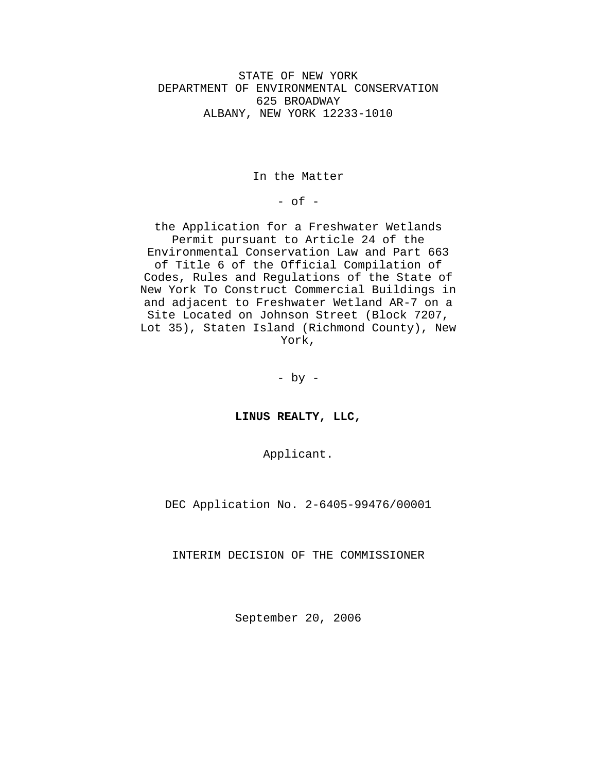STATE OF NEW YORK DEPARTMENT OF ENVIRONMENTAL CONSERVATION 625 BROADWAY ALBANY, NEW YORK 12233-1010

In the Matter

 $-$  of  $-$ 

the Application for a Freshwater Wetlands Permit pursuant to Article 24 of the Environmental Conservation Law and Part 663 of Title 6 of the Official Compilation of Codes, Rules and Regulations of the State of New York To Construct Commercial Buildings in and adjacent to Freshwater Wetland AR-7 on a Site Located on Johnson Street (Block 7207, Lot 35), Staten Island (Richmond County), New York,

 $-$  by  $-$ 

**LINUS REALTY, LLC,**

Applicant.

DEC Application No. 2-6405-99476/00001

INTERIM DECISION OF THE COMMISSIONER

September 20, 2006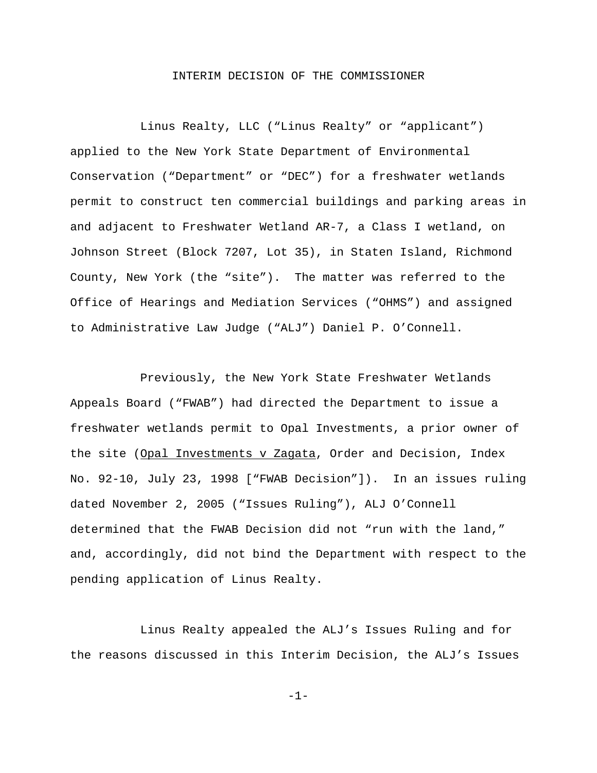# INTERIM DECISION OF THE COMMISSIONER

Linus Realty, LLC ("Linus Realty" or "applicant") applied to the New York State Department of Environmental Conservation ("Department" or "DEC") for a freshwater wetlands permit to construct ten commercial buildings and parking areas in and adjacent to Freshwater Wetland AR-7, a Class I wetland, on Johnson Street (Block 7207, Lot 35), in Staten Island, Richmond County, New York (the "site"). The matter was referred to the Office of Hearings and Mediation Services ("OHMS") and assigned to Administrative Law Judge ("ALJ") Daniel P. O'Connell.

Previously, the New York State Freshwater Wetlands Appeals Board ("FWAB") had directed the Department to issue a freshwater wetlands permit to Opal Investments, a prior owner of the site (Opal Investments v Zagata, Order and Decision, Index No. 92-10, July 23, 1998 ["FWAB Decision"]). In an issues ruling dated November 2, 2005 ("Issues Ruling"), ALJ O'Connell determined that the FWAB Decision did not "run with the land," and, accordingly, did not bind the Department with respect to the pending application of Linus Realty.

Linus Realty appealed the ALJ's Issues Ruling and for the reasons discussed in this Interim Decision, the ALJ's Issues

-1-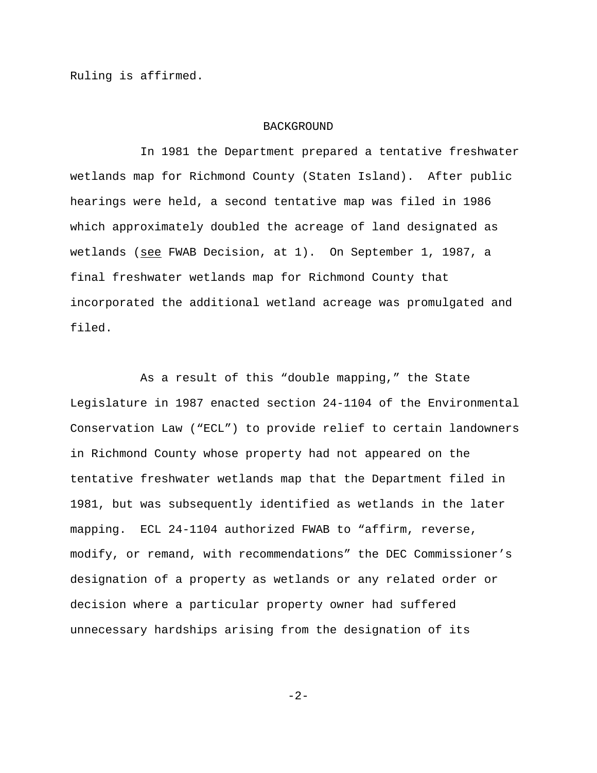Ruling is affirmed.

### BACKGROUND

In 1981 the Department prepared a tentative freshwater wetlands map for Richmond County (Staten Island). After public hearings were held, a second tentative map was filed in 1986 which approximately doubled the acreage of land designated as wetlands (see FWAB Decision, at 1). On September 1, 1987, a final freshwater wetlands map for Richmond County that incorporated the additional wetland acreage was promulgated and filed.

As a result of this "double mapping," the State Legislature in 1987 enacted section 24-1104 of the Environmental Conservation Law ("ECL") to provide relief to certain landowners in Richmond County whose property had not appeared on the tentative freshwater wetlands map that the Department filed in 1981, but was subsequently identified as wetlands in the later mapping. ECL 24-1104 authorized FWAB to "affirm, reverse, modify, or remand, with recommendations" the DEC Commissioner's designation of a property as wetlands or any related order or decision where a particular property owner had suffered unnecessary hardships arising from the designation of its

-2-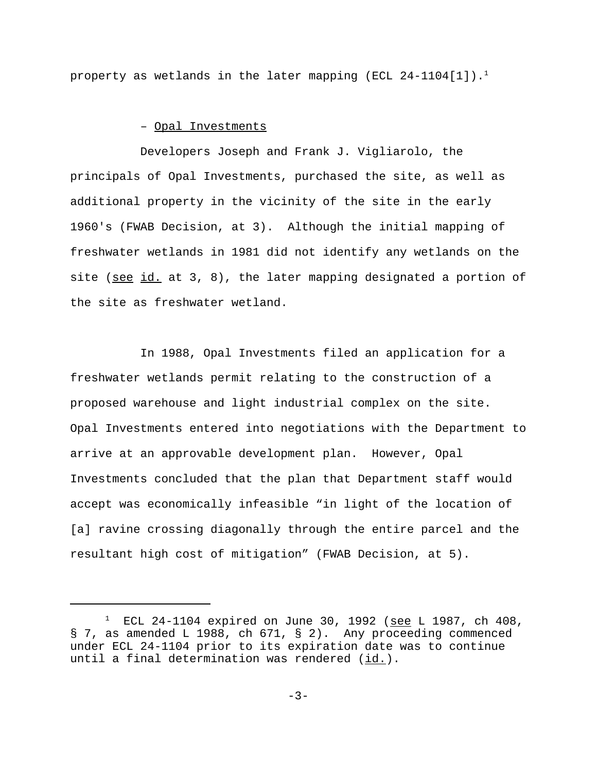property as wetlands in the later mapping (ECL 24-1104[1]).<sup>1</sup>

# – Opal Investments

Developers Joseph and Frank J. Vigliarolo, the principals of Opal Investments, purchased the site, as well as additional property in the vicinity of the site in the early 1960's (FWAB Decision, at 3). Although the initial mapping of freshwater wetlands in 1981 did not identify any wetlands on the site (see id. at 3, 8), the later mapping designated a portion of the site as freshwater wetland.

In 1988, Opal Investments filed an application for a freshwater wetlands permit relating to the construction of a proposed warehouse and light industrial complex on the site. Opal Investments entered into negotiations with the Department to arrive at an approvable development plan. However, Opal Investments concluded that the plan that Department staff would accept was economically infeasible "in light of the location of [a] ravine crossing diagonally through the entire parcel and the resultant high cost of mitigation" (FWAB Decision, at 5).

<sup>&</sup>lt;sup>1</sup> ECL 24-1104 expired on June 30, 1992 (<u>see</u> L 1987, ch 408, § 7, as amended L 1988, ch 671, § 2). Any proceeding commenced under ECL 24-1104 prior to its expiration date was to continue until a final determination was rendered  $(id.)$ .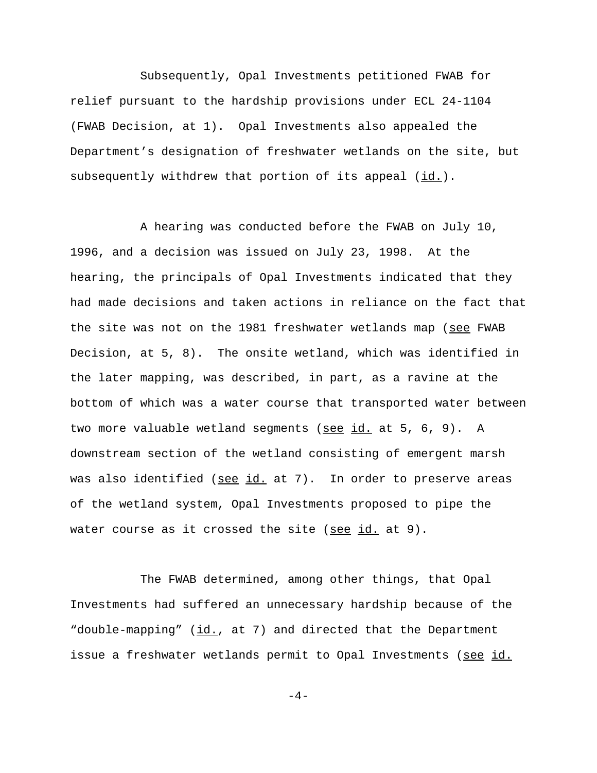Subsequently, Opal Investments petitioned FWAB for relief pursuant to the hardship provisions under ECL 24-1104 (FWAB Decision, at 1). Opal Investments also appealed the Department's designation of freshwater wetlands on the site, but subsequently withdrew that portion of its appeal (id.).

A hearing was conducted before the FWAB on July 10, 1996, and a decision was issued on July 23, 1998. At the hearing, the principals of Opal Investments indicated that they had made decisions and taken actions in reliance on the fact that the site was not on the 1981 freshwater wetlands map (see FWAB Decision, at 5, 8). The onsite wetland, which was identified in the later mapping, was described, in part, as a ravine at the bottom of which was a water course that transported water between two more valuable wetland segments (see id. at 5, 6, 9). A downstream section of the wetland consisting of emergent marsh was also identified (see id. at 7). In order to preserve areas of the wetland system, Opal Investments proposed to pipe the water course as it crossed the site (see  $id.$  at 9).

The FWAB determined, among other things, that Opal Investments had suffered an unnecessary hardship because of the "double-mapping" (id., at 7) and directed that the Department issue a freshwater wetlands permit to Opal Investments (see id.

 $-4-$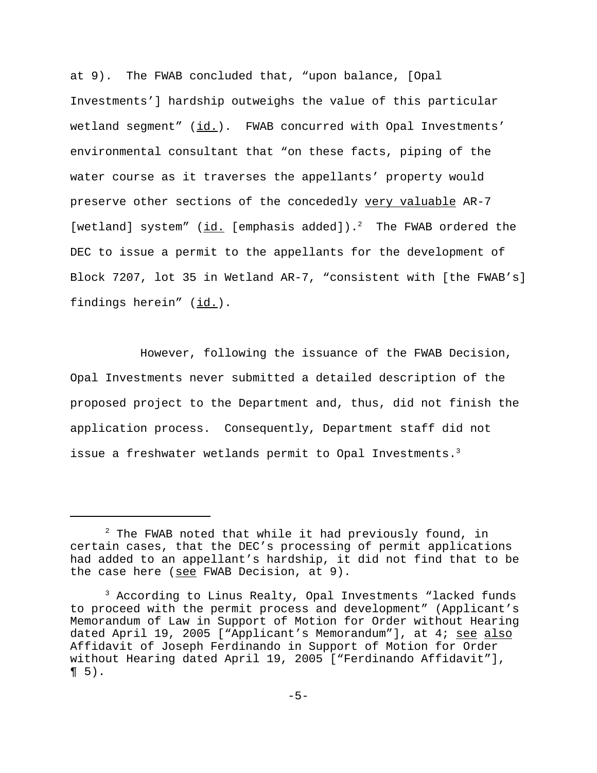at 9). The FWAB concluded that, "upon balance, [Opal Investments'] hardship outweighs the value of this particular wetland segment"  $(i_d)$ . FWAB concurred with Opal Investments' environmental consultant that "on these facts, piping of the water course as it traverses the appellants' property would preserve other sections of the concededly very valuable AR-7 [wetland] system"  $(id.$  [emphasis added]).<sup>2</sup> The FWAB ordered the DEC to issue a permit to the appellants for the development of Block 7207, lot 35 in Wetland AR-7, "consistent with [the FWAB's] findings herein" (id.).

However, following the issuance of the FWAB Decision, Opal Investments never submitted a detailed description of the proposed project to the Department and, thus, did not finish the application process. Consequently, Department staff did not issue a freshwater wetlands permit to Opal Investments.<sup>3</sup>

 $^2$  The FWAB noted that while it had previously found, in certain cases, that the DEC's processing of permit applications had added to an appellant's hardship, it did not find that to be the case here (see FWAB Decision, at 9).

<sup>3</sup> According to Linus Realty, Opal Investments "lacked funds to proceed with the permit process and development" (Applicant's Memorandum of Law in Support of Motion for Order without Hearing dated April 19, 2005 ["Applicant's Memorandum"], at 4; see also Affidavit of Joseph Ferdinando in Support of Motion for Order without Hearing dated April 19, 2005 ["Ferdinando Affidavit"],  $\P 5$ ).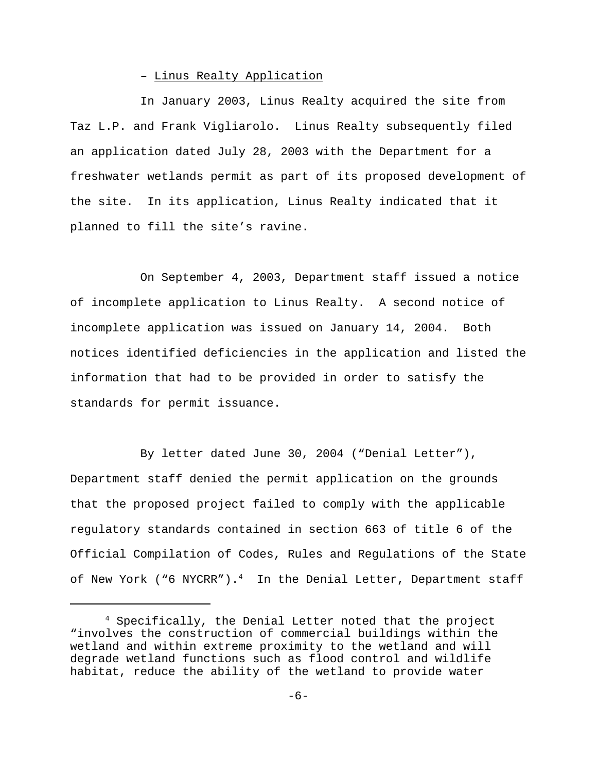# – Linus Realty Application

In January 2003, Linus Realty acquired the site from Taz L.P. and Frank Vigliarolo. Linus Realty subsequently filed an application dated July 28, 2003 with the Department for a freshwater wetlands permit as part of its proposed development of the site. In its application, Linus Realty indicated that it planned to fill the site's ravine.

On September 4, 2003, Department staff issued a notice of incomplete application to Linus Realty. A second notice of incomplete application was issued on January 14, 2004. Both notices identified deficiencies in the application and listed the information that had to be provided in order to satisfy the standards for permit issuance.

By letter dated June 30, 2004 ("Denial Letter"), Department staff denied the permit application on the grounds that the proposed project failed to comply with the applicable regulatory standards contained in section 663 of title 6 of the Official Compilation of Codes, Rules and Regulations of the State of New York ("6 NYCRR").<sup>4</sup> In the Denial Letter, Department staff

<sup>4</sup> Specifically, the Denial Letter noted that the project "involves the construction of commercial buildings within the wetland and within extreme proximity to the wetland and will degrade wetland functions such as flood control and wildlife habitat, reduce the ability of the wetland to provide water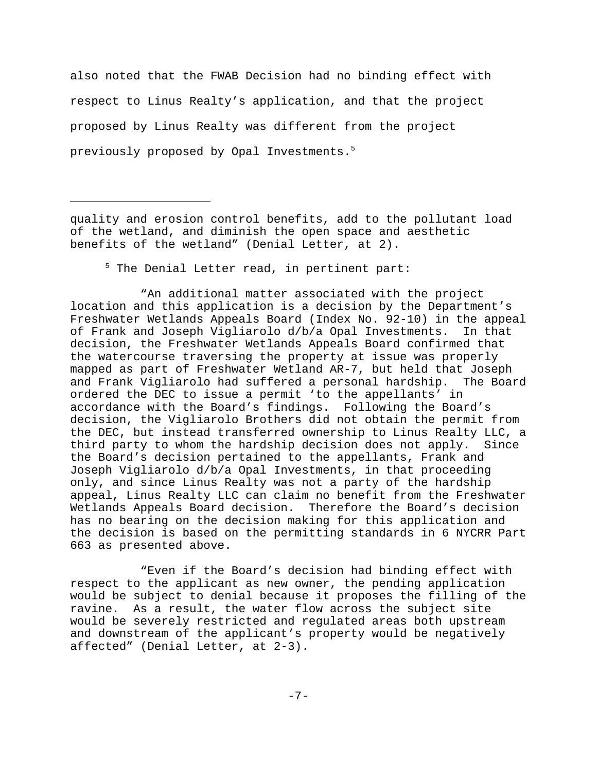also noted that the FWAB Decision had no binding effect with respect to Linus Realty's application, and that the project proposed by Linus Realty was different from the project previously proposed by Opal Investments.5

quality and erosion control benefits, add to the pollutant load of the wetland, and diminish the open space and aesthetic benefits of the wetland" (Denial Letter, at 2).

5 The Denial Letter read, in pertinent part:

"An additional matter associated with the project location and this application is a decision by the Department's Freshwater Wetlands Appeals Board (Index No. 92-10) in the appeal of Frank and Joseph Vigliarolo d/b/a Opal Investments. In that decision, the Freshwater Wetlands Appeals Board confirmed that the watercourse traversing the property at issue was properly mapped as part of Freshwater Wetland AR-7, but held that Joseph and Frank Vigliarolo had suffered a personal hardship. The Board ordered the DEC to issue a permit 'to the appellants' in accordance with the Board's findings. Following the Board's decision, the Vigliarolo Brothers did not obtain the permit from the DEC, but instead transferred ownership to Linus Realty LLC, a third party to whom the hardship decision does not apply. Since the Board's decision pertained to the appellants, Frank and Joseph Vigliarolo d/b/a Opal Investments, in that proceeding only, and since Linus Realty was not a party of the hardship appeal, Linus Realty LLC can claim no benefit from the Freshwater Wetlands Appeals Board decision. Therefore the Board's decision has no bearing on the decision making for this application and the decision is based on the permitting standards in 6 NYCRR Part 663 as presented above.

"Even if the Board's decision had binding effect with respect to the applicant as new owner, the pending application would be subject to denial because it proposes the filling of the ravine. As a result, the water flow across the subject site would be severely restricted and regulated areas both upstream and downstream of the applicant's property would be negatively affected" (Denial Letter, at 2-3).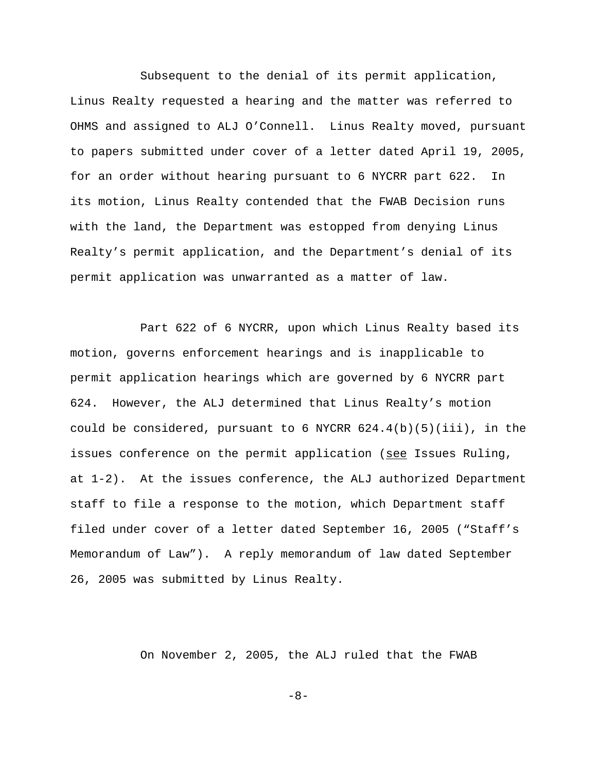Subsequent to the denial of its permit application, Linus Realty requested a hearing and the matter was referred to OHMS and assigned to ALJ O'Connell. Linus Realty moved, pursuant to papers submitted under cover of a letter dated April 19, 2005, for an order without hearing pursuant to 6 NYCRR part 622. In its motion, Linus Realty contended that the FWAB Decision runs with the land, the Department was estopped from denying Linus Realty's permit application, and the Department's denial of its permit application was unwarranted as a matter of law.

Part 622 of 6 NYCRR, upon which Linus Realty based its motion, governs enforcement hearings and is inapplicable to permit application hearings which are governed by 6 NYCRR part 624. However, the ALJ determined that Linus Realty's motion could be considered, pursuant to 6 NYCRR  $624.4(b)(5)(iii)$ , in the issues conference on the permit application (see Issues Ruling, at 1-2). At the issues conference, the ALJ authorized Department staff to file a response to the motion, which Department staff filed under cover of a letter dated September 16, 2005 ("Staff's Memorandum of Law"). A reply memorandum of law dated September 26, 2005 was submitted by Linus Realty.

On November 2, 2005, the ALJ ruled that the FWAB

-8-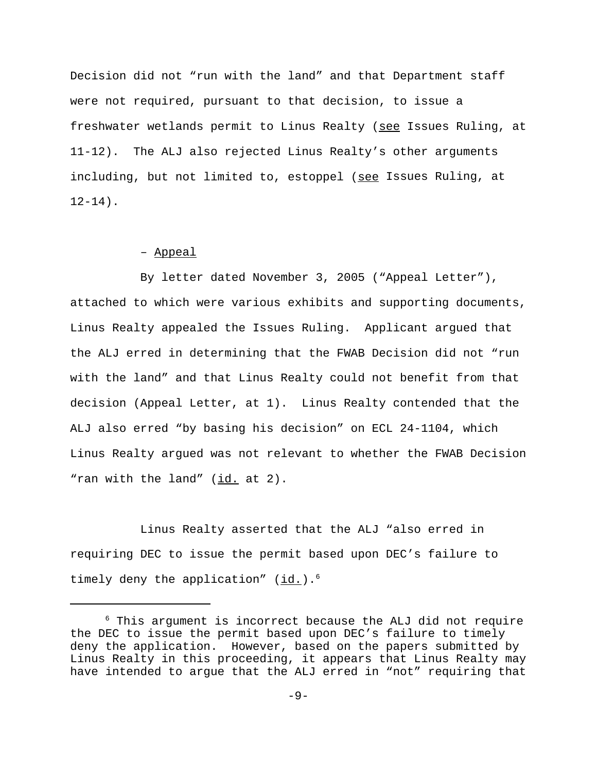Decision did not "run with the land" and that Department staff were not required, pursuant to that decision, to issue a freshwater wetlands permit to Linus Realty (see Issues Ruling, at 11-12). The ALJ also rejected Linus Realty's other arguments including, but not limited to, estoppel (see Issues Ruling, at  $12-14$ ).

# – Appeal

By letter dated November 3, 2005 ("Appeal Letter"), attached to which were various exhibits and supporting documents, Linus Realty appealed the Issues Ruling. Applicant argued that the ALJ erred in determining that the FWAB Decision did not "run with the land" and that Linus Realty could not benefit from that decision (Appeal Letter, at 1). Linus Realty contended that the ALJ also erred "by basing his decision" on ECL 24-1104, which Linus Realty argued was not relevant to whether the FWAB Decision "ran with the land" (id. at 2).

Linus Realty asserted that the ALJ "also erred in requiring DEC to issue the permit based upon DEC's failure to timely deny the application"  $(id.)$ .<sup>6</sup>

<sup>6</sup> This argument is incorrect because the ALJ did not require the DEC to issue the permit based upon DEC's failure to timely deny the application. However, based on the papers submitted by Linus Realty in this proceeding, it appears that Linus Realty may have intended to argue that the ALJ erred in "not" requiring that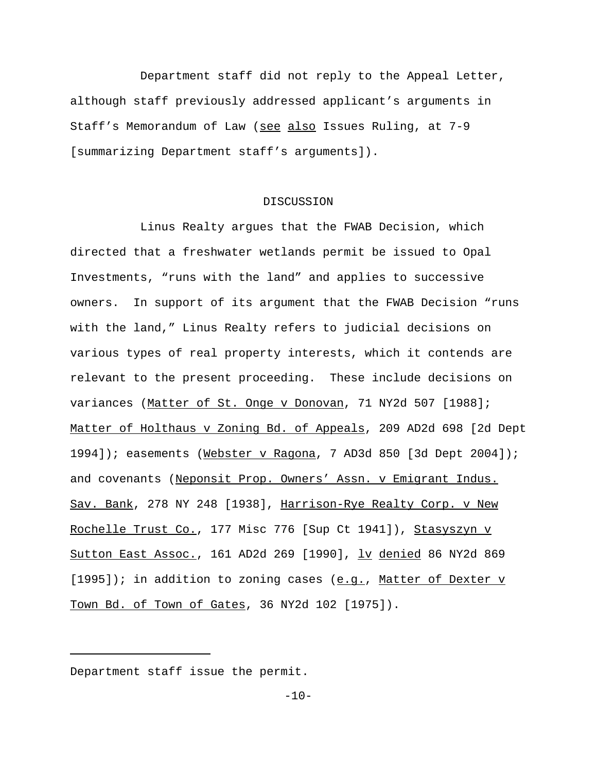Department staff did not reply to the Appeal Letter, although staff previously addressed applicant's arguments in Staff's Memorandum of Law (see also Issues Ruling, at 7-9 [summarizing Department staff's arguments]).

## DISCUSSION

Linus Realty argues that the FWAB Decision, which directed that a freshwater wetlands permit be issued to Opal Investments, "runs with the land" and applies to successive owners. In support of its argument that the FWAB Decision "runs with the land," Linus Realty refers to judicial decisions on various types of real property interests, which it contends are relevant to the present proceeding. These include decisions on variances (Matter of St. Onge v Donovan, 71 NY2d 507 [1988]; Matter of Holthaus v Zoning Bd. of Appeals, 209 AD2d 698 [2d Dept 1994]); easements (Webster v Ragona, 7 AD3d 850 [3d Dept 2004]); and covenants (Neponsit Prop. Owners' Assn. v Emigrant Indus. Sav. Bank, 278 NY 248 [1938], Harrison-Rye Realty Corp. v New Rochelle Trust Co., 177 Misc 776 [Sup Ct 1941]), Stasyszyn v Sutton East Assoc., 161 AD2d 269 [1990], lv denied 86 NY2d 869  $[1995]$ ); in addition to zoning cases (e.g., Matter of Dexter v Town Bd. of Town of Gates, 36 NY2d 102 [1975]).

Department staff issue the permit.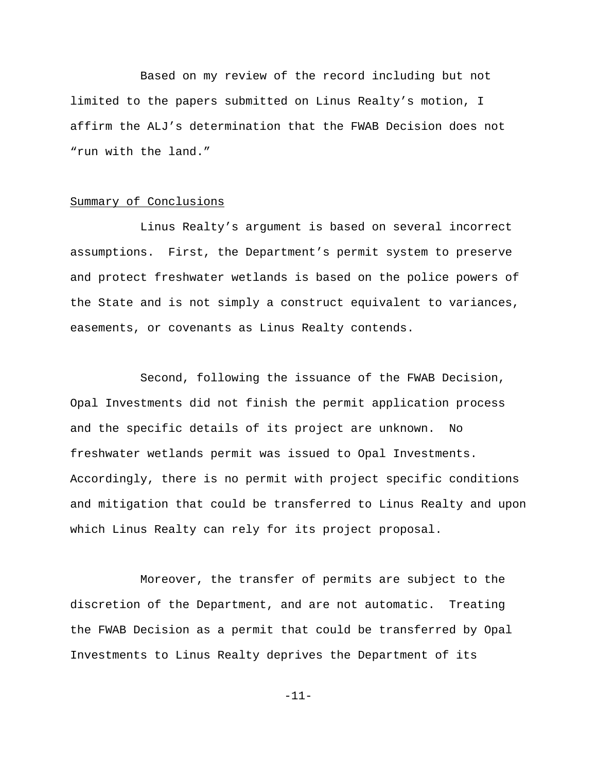Based on my review of the record including but not limited to the papers submitted on Linus Realty's motion, I affirm the ALJ's determination that the FWAB Decision does not "run with the land."

### Summary of Conclusions

Linus Realty's argument is based on several incorrect assumptions. First, the Department's permit system to preserve and protect freshwater wetlands is based on the police powers of the State and is not simply a construct equivalent to variances, easements, or covenants as Linus Realty contends.

Second, following the issuance of the FWAB Decision, Opal Investments did not finish the permit application process and the specific details of its project are unknown. No freshwater wetlands permit was issued to Opal Investments. Accordingly, there is no permit with project specific conditions and mitigation that could be transferred to Linus Realty and upon which Linus Realty can rely for its project proposal.

Moreover, the transfer of permits are subject to the discretion of the Department, and are not automatic. Treating the FWAB Decision as a permit that could be transferred by Opal Investments to Linus Realty deprives the Department of its

-11-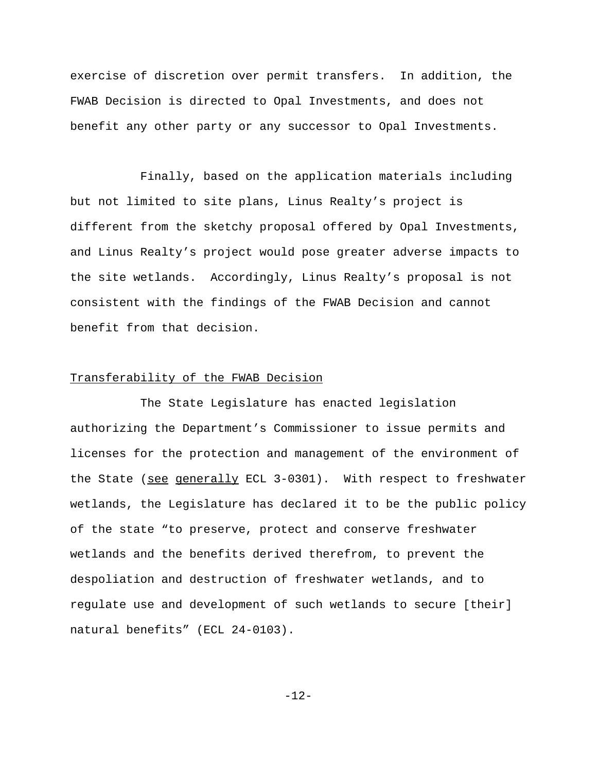exercise of discretion over permit transfers. In addition, the FWAB Decision is directed to Opal Investments, and does not benefit any other party or any successor to Opal Investments.

Finally, based on the application materials including but not limited to site plans, Linus Realty's project is different from the sketchy proposal offered by Opal Investments, and Linus Realty's project would pose greater adverse impacts to the site wetlands. Accordingly, Linus Realty's proposal is not consistent with the findings of the FWAB Decision and cannot benefit from that decision.

## Transferability of the FWAB Decision

The State Legislature has enacted legislation authorizing the Department's Commissioner to issue permits and licenses for the protection and management of the environment of the State (see generally ECL 3-0301). With respect to freshwater wetlands, the Legislature has declared it to be the public policy of the state "to preserve, protect and conserve freshwater wetlands and the benefits derived therefrom, to prevent the despoliation and destruction of freshwater wetlands, and to regulate use and development of such wetlands to secure [their] natural benefits" (ECL 24-0103).

-12-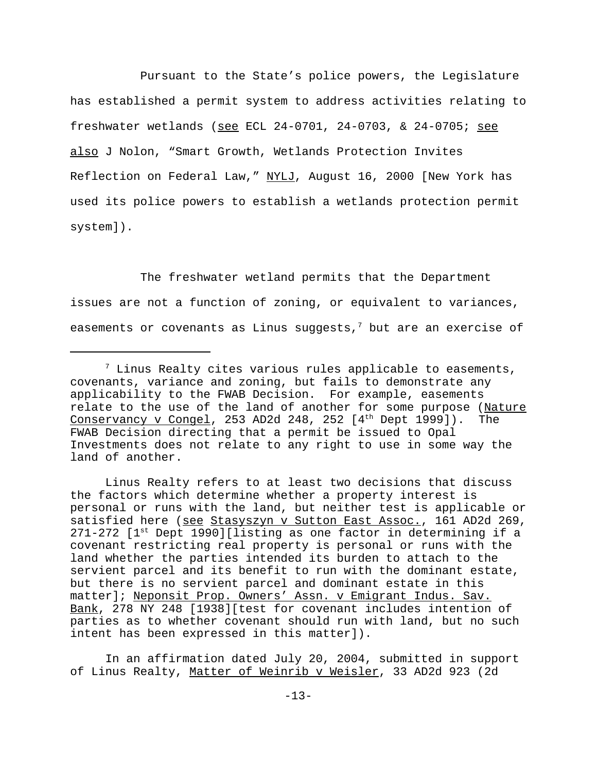Pursuant to the State's police powers, the Legislature has established a permit system to address activities relating to freshwater wetlands (see ECL 24-0701, 24-0703, & 24-0705; see also J Nolon, "Smart Growth, Wetlands Protection Invites Reflection on Federal Law," NYLJ, August 16, 2000 [New York has used its police powers to establish a wetlands protection permit system]).

The freshwater wetland permits that the Department issues are not a function of zoning, or equivalent to variances, easements or covenants as Linus suggests, $^7$  but are an exercise of

Linus Realty refers to at least two decisions that discuss the factors which determine whether a property interest is personal or runs with the land, but neither test is applicable or satisfied here (see Stasyszyn v Sutton East Assoc., 161 AD2d 269,  $271-272$  [ $1^{st}$  Dept 1990][listing as one factor in determining if a covenant restricting real property is personal or runs with the land whether the parties intended its burden to attach to the servient parcel and its benefit to run with the dominant estate, but there is no servient parcel and dominant estate in this matter]; Neponsit Prop. Owners' Assn. v Emigrant Indus. Sav. Bank, 278 NY 248 [1938][test for covenant includes intention of parties as to whether covenant should run with land, but no such intent has been expressed in this matter]).

In an affirmation dated July 20, 2004, submitted in support of Linus Realty, Matter of Weinrib v Weisler, 33 AD2d 923 (2d

 $7$  Linus Realty cites various rules applicable to easements, covenants, variance and zoning, but fails to demonstrate any applicability to the FWAB Decision. For example, easements relate to the use of the land of another for some purpose (Nature Conservancy v Congel, 253 AD2d 248, 252  $[4<sup>th</sup>$  Dept 1999]). The FWAB Decision directing that a permit be issued to Opal Investments does not relate to any right to use in some way the land of another.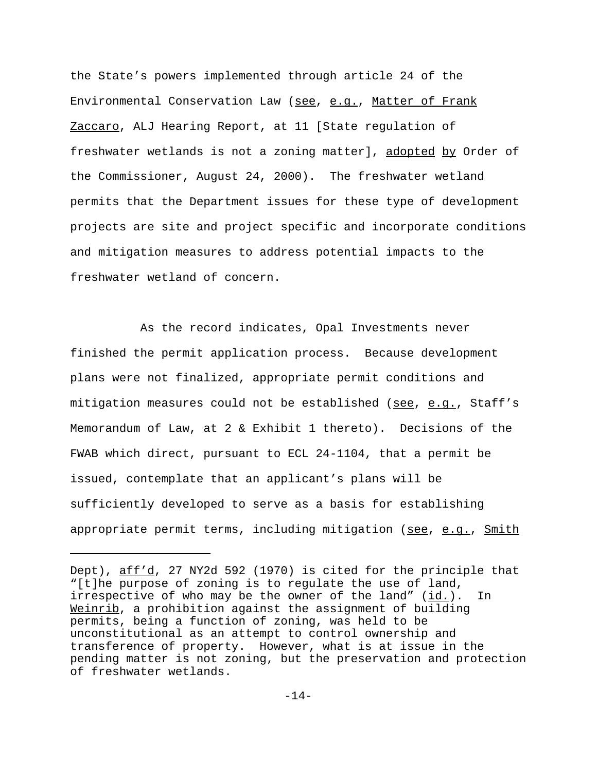the State's powers implemented through article 24 of the Environmental Conservation Law (see, e.g., Matter of Frank Zaccaro, ALJ Hearing Report, at 11 [State regulation of freshwater wetlands is not a zoning matter], adopted by Order of the Commissioner, August 24, 2000). The freshwater wetland permits that the Department issues for these type of development projects are site and project specific and incorporate conditions and mitigation measures to address potential impacts to the freshwater wetland of concern.

As the record indicates, Opal Investments never finished the permit application process. Because development plans were not finalized, appropriate permit conditions and mitigation measures could not be established (see, e.g., Staff's Memorandum of Law, at 2 & Exhibit 1 thereto). Decisions of the FWAB which direct, pursuant to ECL 24-1104, that a permit be issued, contemplate that an applicant's plans will be sufficiently developed to serve as a basis for establishing appropriate permit terms, including mitigation (see, e.g., Smith

Dept), aff'd, 27 NY2d 592 (1970) is cited for the principle that "[t]he purpose of zoning is to regulate the use of land, irrespective of who may be the owner of the land"  $(id.)$ . In Weinrib, a prohibition against the assignment of building permits, being a function of zoning, was held to be unconstitutional as an attempt to control ownership and transference of property. However, what is at issue in the pending matter is not zoning, but the preservation and protection of freshwater wetlands.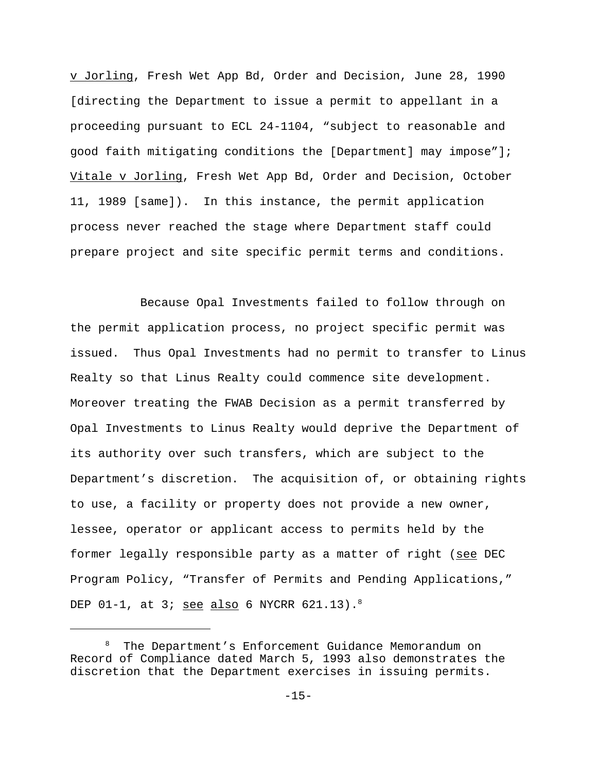v Jorling, Fresh Wet App Bd, Order and Decision, June 28, 1990 [directing the Department to issue a permit to appellant in a proceeding pursuant to ECL 24-1104, "subject to reasonable and good faith mitigating conditions the [Department] may impose"]; Vitale v Jorling, Fresh Wet App Bd, Order and Decision, October 11, 1989 [same]). In this instance, the permit application process never reached the stage where Department staff could prepare project and site specific permit terms and conditions.

Because Opal Investments failed to follow through on the permit application process, no project specific permit was issued. Thus Opal Investments had no permit to transfer to Linus Realty so that Linus Realty could commence site development. Moreover treating the FWAB Decision as a permit transferred by Opal Investments to Linus Realty would deprive the Department of its authority over such transfers, which are subject to the Department's discretion. The acquisition of, or obtaining rights to use, a facility or property does not provide a new owner, lessee, operator or applicant access to permits held by the former legally responsible party as a matter of right (see DEC Program Policy, "Transfer of Permits and Pending Applications," DEP  $01-1$ , at 3; see also 6 NYCRR  $621.13$ ).<sup>8</sup>

<sup>8</sup> The Department's Enforcement Guidance Memorandum on Record of Compliance dated March 5, 1993 also demonstrates the discretion that the Department exercises in issuing permits.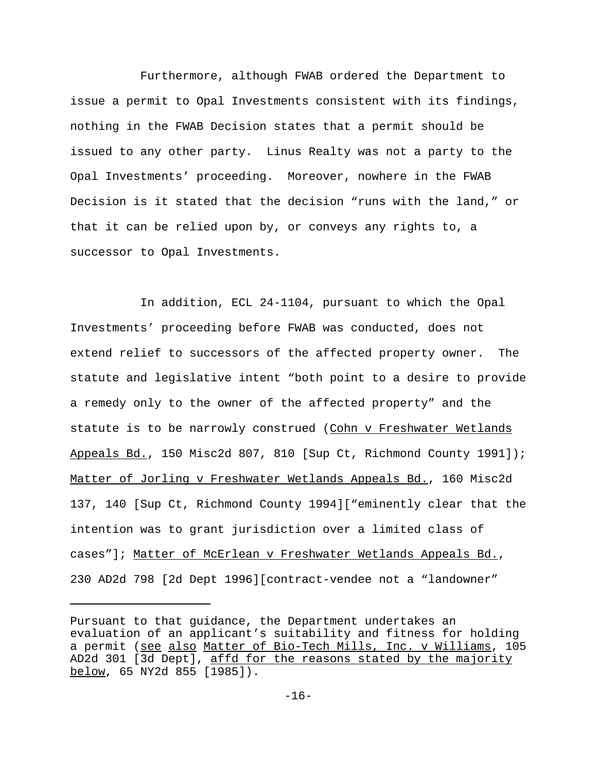Furthermore, although FWAB ordered the Department to issue a permit to Opal Investments consistent with its findings, nothing in the FWAB Decision states that a permit should be issued to any other party. Linus Realty was not a party to the Opal Investments' proceeding. Moreover, nowhere in the FWAB Decision is it stated that the decision "runs with the land," or that it can be relied upon by, or conveys any rights to, a successor to Opal Investments.

In addition, ECL 24-1104, pursuant to which the Opal Investments' proceeding before FWAB was conducted, does not extend relief to successors of the affected property owner. The statute and legislative intent "both point to a desire to provide a remedy only to the owner of the affected property" and the statute is to be narrowly construed (Cohn v Freshwater Wetlands Appeals Bd., 150 Misc2d 807, 810 [Sup Ct, Richmond County 1991]); Matter of Jorling v Freshwater Wetlands Appeals Bd., 160 Misc2d 137, 140 [Sup Ct, Richmond County 1994]["eminently clear that the intention was to grant jurisdiction over a limited class of cases"]; Matter of McErlean v Freshwater Wetlands Appeals Bd., 230 AD2d 798 [2d Dept 1996][contract-vendee not a "landowner"

Pursuant to that guidance, the Department undertakes an evaluation of an applicant's suitability and fitness for holding a permit (see also Matter of Bio-Tech Mills, Inc. v Williams, 105 AD2d 301 [3d Dept], affd for the reasons stated by the majority below, 65 NY2d 855 [1985]).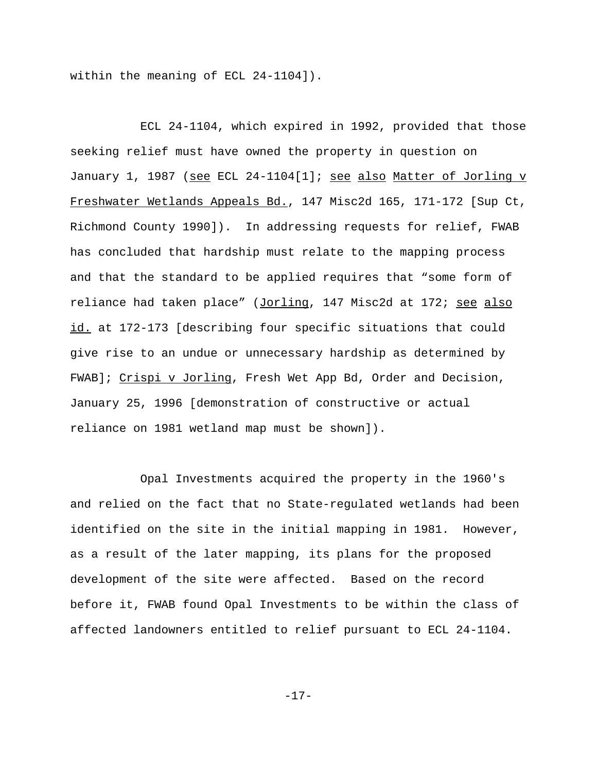within the meaning of ECL 24-1104]).

ECL 24-1104, which expired in 1992, provided that those seeking relief must have owned the property in question on January 1, 1987 (see ECL 24-1104[1]; see also Matter of Jorling v Freshwater Wetlands Appeals Bd., 147 Misc2d 165, 171-172 [Sup Ct, Richmond County 1990]). In addressing requests for relief, FWAB has concluded that hardship must relate to the mapping process and that the standard to be applied requires that "some form of reliance had taken place" (Jorling, 147 Misc2d at 172; see also id. at 172-173 [describing four specific situations that could give rise to an undue or unnecessary hardship as determined by FWAB]; Crispi v Jorling, Fresh Wet App Bd, Order and Decision, January 25, 1996 [demonstration of constructive or actual reliance on 1981 wetland map must be shown]).

Opal Investments acquired the property in the 1960's and relied on the fact that no State-regulated wetlands had been identified on the site in the initial mapping in 1981. However, as a result of the later mapping, its plans for the proposed development of the site were affected. Based on the record before it, FWAB found Opal Investments to be within the class of affected landowners entitled to relief pursuant to ECL 24-1104.

-17-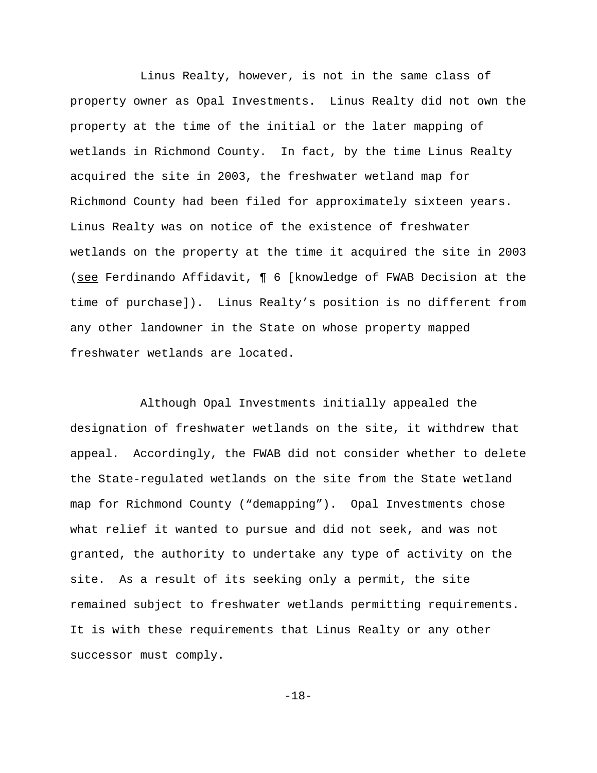Linus Realty, however, is not in the same class of property owner as Opal Investments. Linus Realty did not own the property at the time of the initial or the later mapping of wetlands in Richmond County. In fact, by the time Linus Realty acquired the site in 2003, the freshwater wetland map for Richmond County had been filed for approximately sixteen years. Linus Realty was on notice of the existence of freshwater wetlands on the property at the time it acquired the site in 2003 (see Ferdinando Affidavit, ¶ 6 [knowledge of FWAB Decision at the time of purchase]). Linus Realty's position is no different from any other landowner in the State on whose property mapped freshwater wetlands are located.

Although Opal Investments initially appealed the designation of freshwater wetlands on the site, it withdrew that appeal. Accordingly, the FWAB did not consider whether to delete the State-regulated wetlands on the site from the State wetland map for Richmond County ("demapping"). Opal Investments chose what relief it wanted to pursue and did not seek, and was not granted, the authority to undertake any type of activity on the site. As a result of its seeking only a permit, the site remained subject to freshwater wetlands permitting requirements. It is with these requirements that Linus Realty or any other successor must comply.

-18-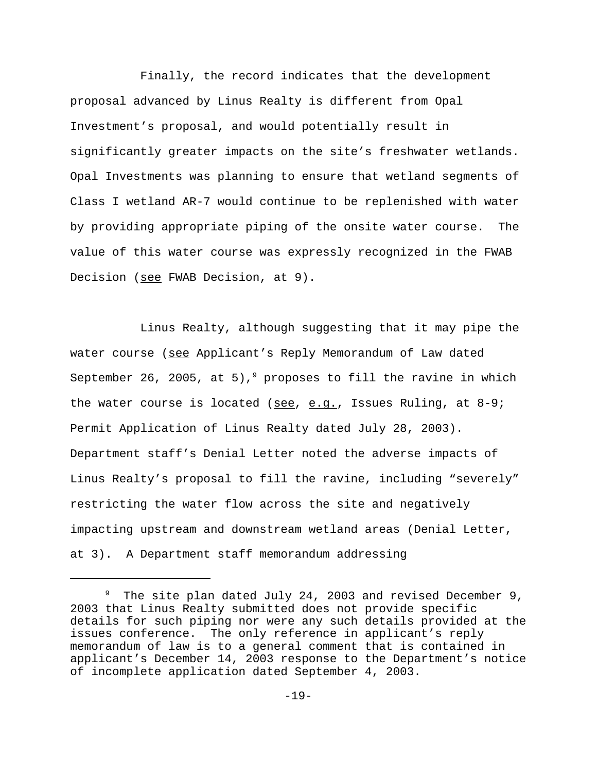Finally, the record indicates that the development proposal advanced by Linus Realty is different from Opal Investment's proposal, and would potentially result in significantly greater impacts on the site's freshwater wetlands. Opal Investments was planning to ensure that wetland segments of Class I wetland AR-7 would continue to be replenished with water by providing appropriate piping of the onsite water course. The value of this water course was expressly recognized in the FWAB Decision (see FWAB Decision, at 9).

Linus Realty, although suggesting that it may pipe the water course (see Applicant's Reply Memorandum of Law dated September 26, 2005, at 5),<sup>9</sup> proposes to fill the ravine in which the water course is located (see, e.g., Issues Ruling, at 8-9; Permit Application of Linus Realty dated July 28, 2003). Department staff's Denial Letter noted the adverse impacts of Linus Realty's proposal to fill the ravine, including "severely" restricting the water flow across the site and negatively impacting upstream and downstream wetland areas (Denial Letter, at 3). A Department staff memorandum addressing

<sup>&</sup>lt;sup>9</sup> The site plan dated July 24, 2003 and revised December 9, 2003 that Linus Realty submitted does not provide specific details for such piping nor were any such details provided at the issues conference. The only reference in applicant's reply memorandum of law is to a general comment that is contained in applicant's December 14, 2003 response to the Department's notice of incomplete application dated September 4, 2003.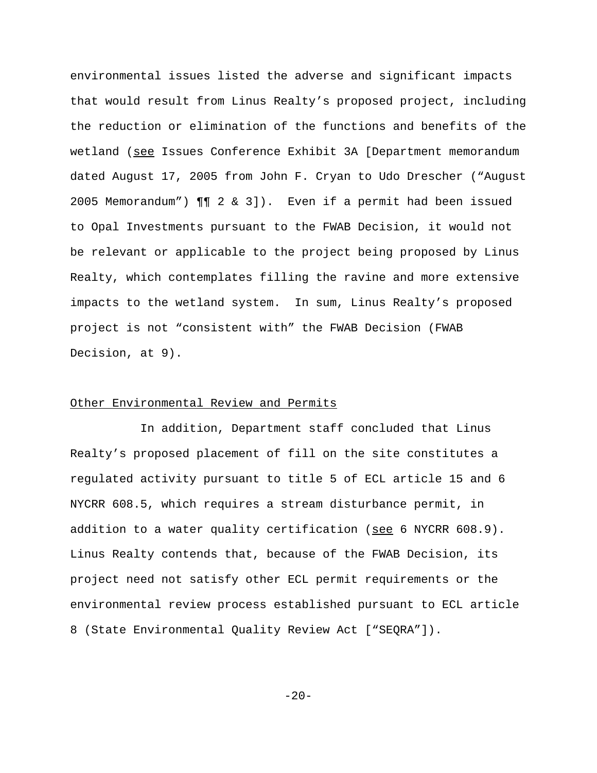environmental issues listed the adverse and significant impacts that would result from Linus Realty's proposed project, including the reduction or elimination of the functions and benefits of the wetland (see Issues Conference Exhibit 3A [Department memorandum dated August 17, 2005 from John F. Cryan to Udo Drescher ("August 2005 Memorandum") ¶¶ 2 & 3]). Even if a permit had been issued to Opal Investments pursuant to the FWAB Decision, it would not be relevant or applicable to the project being proposed by Linus Realty, which contemplates filling the ravine and more extensive impacts to the wetland system. In sum, Linus Realty's proposed project is not "consistent with" the FWAB Decision (FWAB Decision, at 9).

## Other Environmental Review and Permits

In addition, Department staff concluded that Linus Realty's proposed placement of fill on the site constitutes a regulated activity pursuant to title 5 of ECL article 15 and 6 NYCRR 608.5, which requires a stream disturbance permit, in addition to a water quality certification (see 6 NYCRR  $608.9$ ). Linus Realty contends that, because of the FWAB Decision, its project need not satisfy other ECL permit requirements or the environmental review process established pursuant to ECL article 8 (State Environmental Quality Review Act ["SEQRA"]).

 $-20-$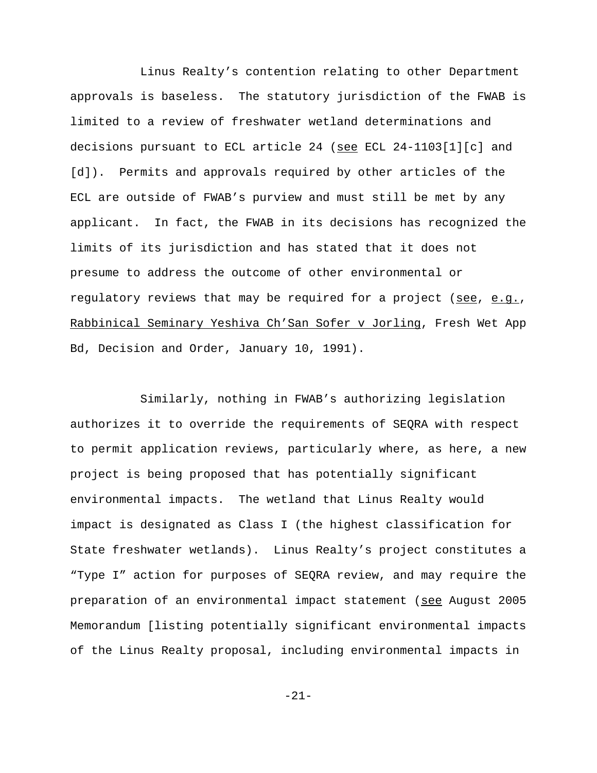Linus Realty's contention relating to other Department approvals is baseless. The statutory jurisdiction of the FWAB is limited to a review of freshwater wetland determinations and decisions pursuant to ECL article 24 (see ECL 24-1103[1][c] and [d]). Permits and approvals required by other articles of the ECL are outside of FWAB's purview and must still be met by any applicant. In fact, the FWAB in its decisions has recognized the limits of its jurisdiction and has stated that it does not presume to address the outcome of other environmental or regulatory reviews that may be required for a project (see, e.g., Rabbinical Seminary Yeshiva Ch'San Sofer v Jorling, Fresh Wet App Bd, Decision and Order, January 10, 1991).

Similarly, nothing in FWAB's authorizing legislation authorizes it to override the requirements of SEQRA with respect to permit application reviews, particularly where, as here, a new project is being proposed that has potentially significant environmental impacts. The wetland that Linus Realty would impact is designated as Class I (the highest classification for State freshwater wetlands). Linus Realty's project constitutes a "Type I" action for purposes of SEQRA review, and may require the preparation of an environmental impact statement (see August 2005 Memorandum [listing potentially significant environmental impacts of the Linus Realty proposal, including environmental impacts in

-21-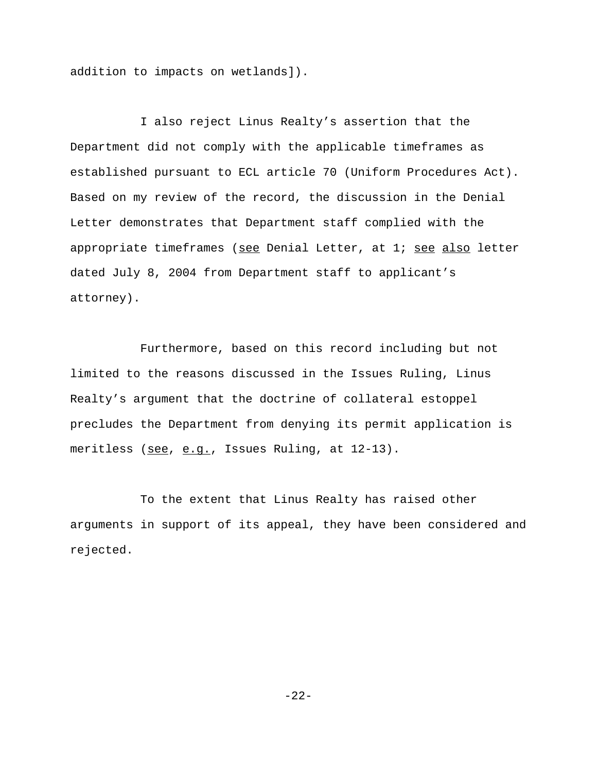addition to impacts on wetlands]).

I also reject Linus Realty's assertion that the Department did not comply with the applicable timeframes as established pursuant to ECL article 70 (Uniform Procedures Act). Based on my review of the record, the discussion in the Denial Letter demonstrates that Department staff complied with the appropriate timeframes (see Denial Letter, at 1; see also letter dated July 8, 2004 from Department staff to applicant's attorney).

Furthermore, based on this record including but not limited to the reasons discussed in the Issues Ruling, Linus Realty's argument that the doctrine of collateral estoppel precludes the Department from denying its permit application is meritless (see, e.q., Issues Ruling, at 12-13).

To the extent that Linus Realty has raised other arguments in support of its appeal, they have been considered and rejected.

-22-